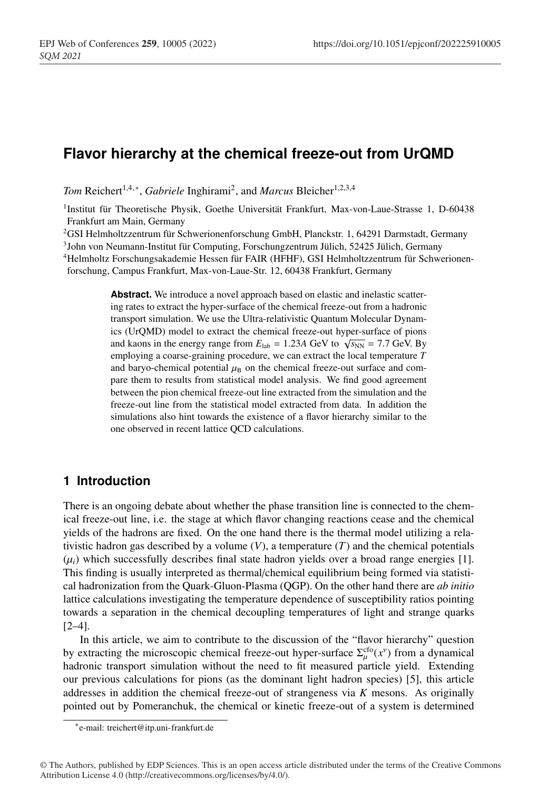# **Flavor hierarchy at the chemical freeze-out from UrQMD**

*Tom* Reichert<sup>1,4,∗</sup>, *Gabriele* Inghirami<sup>2</sup>, and *Marcus* Bleicher<sup>1,2,3,4</sup>

1Institut für Theoretische Physik, Goethe Universität Frankfurt, Max-von-Laue-Strasse 1, D-60438 Frankfurt am Main, Germany

2GSI Helmholtzzentrum für Schwerionenforschung GmbH, Planckstr. 1, 64291 Darmstadt, Germany

3John von Neumann-Institut für Computing, Forschungzentrum Jülich, 52425 Jülich, Germany

4Helmholtz Forschungsakademie Hessen für FAIR (HFHF), GSI Helmholtzzentrum für Schwerionen-

forschung, Campus Frankfurt, Max-von-Laue-Str. 12, 60438 Frankfurt, Germany

**Abstract.** We introduce a novel approach based on elastic and inelastic scattering rates to extract the hyper-surface of the chemical freeze-out from a hadronic transport simulation. We use the Ultra-relativistic Quantum Molecular Dynamics (UrQMD) model to extract the chemical freeze-out hyper-surface of pions and kaons in the energy range from  $E_{\text{lab}} = 1.23A \text{ GeV}$  to  $\sqrt{s_{\text{NN}}} = 7.7 \text{ GeV}$ . By employing a coarse-graining procedure, we can extract the local temperature *T* and baryo-chemical potential  $\mu_B$  on the chemical freeze-out surface and compare them to results from statistical model analysis. We find good agreement between the pion chemical freeze-out line extracted from the simulation and the freeze-out line from the statistical model extracted from data. In addition the simulations also hint towards the existence of a flavor hierarchy similar to the one observed in recent lattice QCD calculations.

### **1 Introduction**

There is an ongoing debate about whether the phase transition line is connected to the chemical freeze-out line, i.e. the stage at which flavor changing reactions cease and the chemical yields of the hadrons are fixed. On the one hand there is the thermal model utilizing a relativistic hadron gas described by a volume  $(V)$ , a temperature  $(T)$  and the chemical potentials  $(\mu_i)$  which successfully describes final state hadron yields over a broad range energies [1]. This finding is usually interpreted as thermal/chemical equilibrium being formed via statistical hadronization from the Quark-Gluon-Plasma (QGP). On the other hand there are *ab initio* lattice calculations investigating the temperature dependence of susceptibility ratios pointing towards a separation in the chemical decoupling temperatures of light and strange quarks  $[2-4]$ .

In this article, we aim to contribute to the discussion of the "flavor hierarchy" question by extracting the microscopic chemical freeze-out hyper-surface  $\Sigma_{\mu}^{cfo}(x^{\nu})$  from a dynamical hadronic transport simulation without the need to fit measured particle yield. Extending our previous calculations for pions (as the dominant light hadron species) [5], this article addresses in addition the chemical freeze-out of strangeness via *K* mesons. As originally pointed out by Pomeranchuk, the chemical or kinetic freeze-out of a system is determined

<sup>∗</sup>e-mail: treichert@itp.uni-frankfurt.de

<sup>©</sup> The Authors, published by EDP Sciences. This is an open access article distributed under the terms of the Creative Commons Attribution License 4.0 (http://creativecommons.org/licenses/by/4.0/).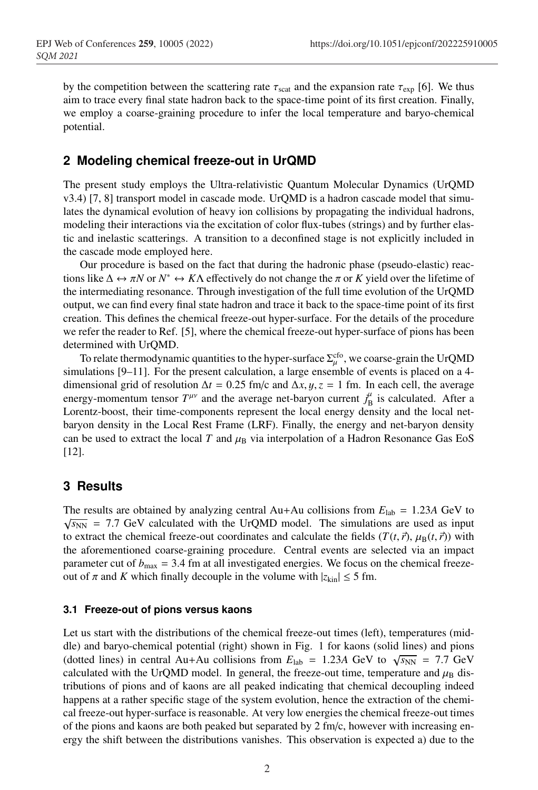by the competition between the scattering rate  $\tau_{scat}$  and the expansion rate  $\tau_{exp}$  [6]. We thus aim to trace every final state hadron back to the space-time point of its first creation. Finally, we employ a coarse-graining procedure to infer the local temperature and baryo-chemical potential.

### **2 Modeling chemical freeze-out in UrQMD**

The present study employs the Ultra-relativistic Quantum Molecular Dynamics (UrQMD v3.4) [7, 8] transport model in cascade mode. UrQMD is a hadron cascade model that simulates the dynamical evolution of heavy ion collisions by propagating the individual hadrons, modeling their interactions via the excitation of color flux-tubes (strings) and by further elastic and inelastic scatterings. A transition to a deconfined stage is not explicitly included in the cascade mode employed here.

Our procedure is based on the fact that during the hadronic phase (pseudo-elastic) reactions like  $\Delta \leftrightarrow \pi N$  or  $N^* \leftrightarrow K\Lambda$  effectively do not change the  $\pi$  or *K* yield over the lifetime of the intermediating resonance. Through investigation of the full time evolution of the UrQMD output, we can find every final state hadron and trace it back to the space-time point of its first creation. This defines the chemical freeze-out hyper-surface. For the details of the procedure we refer the reader to Ref. [5], where the chemical freeze-out hyper-surface of pions has been determined with UrQMD.

To relate thermodynamic quantities to the hyper-surface  $\Sigma_\mu^{\rm cfo}$ , we coarse-grain the UrQMD simulations [9–11]. For the present calculation, a large ensemble of events is placed on a 4 dimensional grid of resolution  $\Delta t = 0.25$  fm/c and  $\Delta x, y, z = 1$  fm. In each cell, the average energy-momentum tensor  $T^{\mu\nu}$  and the average net-baryon current  $j_B^{\mu}$  is calculated. After a Lorentz-boost, their time-components represent the local energy density and the local netbaryon density in the Local Rest Frame (LRF). Finally, the energy and net-baryon density can be used to extract the local *T* and  $\mu_B$  via interpolation of a Hadron Resonance Gas EoS [12].

## **3 Results**

The results are obtained by analyzing central Au+Au collisions from  $E_{\text{lab}} = 1.23A$  GeV to  $\sqrt{s_{NN}}$  = 7.7 GeV calculated with the UrQMD model. The simulations are used as input to extract the chemical freeze-out coordinates and calculate the fields  $(T(t, \vec{r}), \mu_B(t, \vec{r}))$  with the aforementioned coarse-graining procedure. Central events are selected via an impact parameter cut of  $b_{\text{max}} = 3.4$  fm at all investigated energies. We focus on the chemical freezeout of  $\pi$  and K which finally decouple in the volume with  $|z_{kin}| \leq 5$  fm.

#### **3.1 Freeze-out of pions versus kaons**

Let us start with the distributions of the chemical freeze-out times (left), temperatures (middle) and baryo-chemical potential (right) shown in Fig. 1 for kaons (solid lines) and pions (dotted lines) in central Au+Au collisions from  $E_{\text{lab}} = 1.23A \text{ GeV}$  to  $\sqrt{s_{\text{NN}}} = 7.7 \text{ GeV}$ calculated with the UrQMD model. In general, the freeze-out time, temperature and  $\mu_B$  distributions of pions and of kaons are all peaked indicating that chemical decoupling indeed happens at a rather specific stage of the system evolution, hence the extraction of the chemical freeze-out hyper-surface is reasonable. At very low energies the chemical freeze-out times of the pions and kaons are both peaked but separated by  $2 \text{ fm/c}$ , however with increasing energy the shift between the distributions vanishes. This observation is expected a) due to the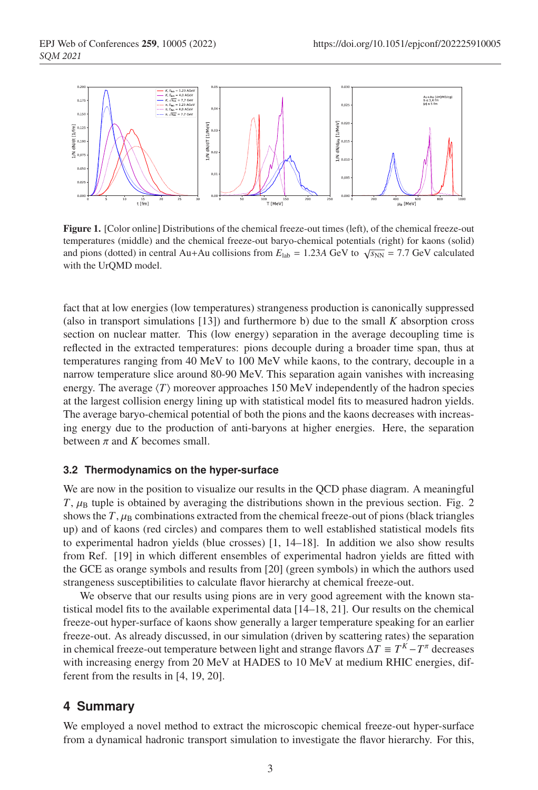

Figure 1. [Color online] Distributions of the chemical freeze-out times (left), of the chemical freeze-out temperatures (middle) and the chemical freeze-out baryo-chemical potentials (right) for kaons (solid) and pions (dotted) in central Au+Au collisions from  $E_{\text{lab}} = 1.23A \text{ GeV}$  to  $\sqrt{s_{\text{NN}}} = 7.7 \text{ GeV}$  calculated with the UrQMD model.

fact that at low energies (low temperatures) strangeness production is canonically suppressed (also in transport simulations  $[13]$ ) and furthermore b) due to the small  $K$  absorption cross section on nuclear matter. This (low energy) separation in the average decoupling time is reflected in the extracted temperatures: pions decouple during a broader time span, thus at temperatures ranging from 40 MeV to 100 MeV while kaons, to the contrary, decouple in a narrow temperature slice around 80-90 MeV. This separation again vanishes with increasing energy. The average  $\langle T \rangle$  moreover approaches 150 MeV independently of the hadron species at the largest collision energy lining up with statistical model fits to measured hadron yields. The average baryo-chemical potential of both the pions and the kaons decreases with increasing energy due to the production of anti-baryons at higher energies. Here, the separation between  $\pi$  and  $K$  becomes small.

#### **3.2 Thermodynamics on the hyper-surface**

We are now in the position to visualize our results in the QCD phase diagram. A meaningful  $T$ ,  $\mu$ <sub>B</sub> tuple is obtained by averaging the distributions shown in the previous section. Fig. 2 shows the  $T$ ,  $\mu_B$  combinations extracted from the chemical freeze-out of pions (black triangles up) and of kaons (red circles) and compares them to well established statistical models fits to experimental hadron yields (blue crosses) [1, 14–18]. In addition we also show results from Ref. [19] in which different ensembles of experimental hadron yields are fitted with the GCE as orange symbols and results from [20] (green symbols) in which the authors used strangeness susceptibilities to calculate flavor hierarchy at chemical freeze-out.

We observe that our results using pions are in very good agreement with the known statistical model fits to the available experimental data [14–18, 21]. Our results on the chemical freeze-out hyper-surface of kaons show generally a larger temperature speaking for an earlier freeze-out. As already discussed, in our simulation (driven by scattering rates) the separation in chemical freeze-out temperature between light and strange flavors  $\Delta T \equiv T^{K} - T^{\pi}$  decreases with increasing energy from 20 MeV at HADES to 10 MeV at medium RHIC energies, different from the results in [4, 19, 20].

### **4 Summary**

We employed a novel method to extract the microscopic chemical freeze-out hyper-surface from a dynamical hadronic transport simulation to investigate the flavor hierarchy. For this,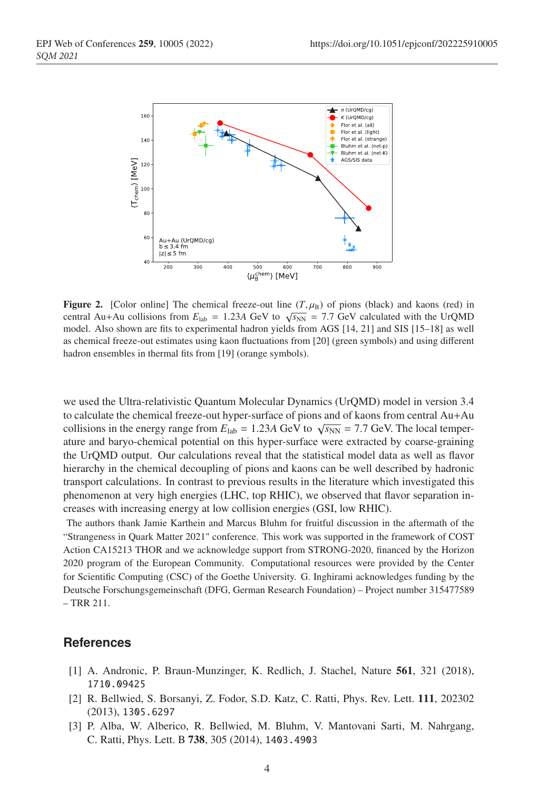

**Figure 2.** [Color online] The chemical freeze-out line  $(T, \mu_B)$  of pions (black) and kaons (red) in central Au+Au collisions from  $E_{\text{lab}} = 1.23A \text{ GeV}$  to  $\sqrt{s_{NN}} = 7.7 \text{ GeV}$  calculated with the UrQMD model. Also shown are fits to experimental hadron yields from AGS [14, 21] and SIS [15–18] as well as chemical freeze-out estimates using kaon fluctuations from [20] (green symbols) and using different hadron ensembles in thermal fits from [19] (orange symbols).

we used the Ultra-relativistic Quantum Molecular Dynamics (UrQMD) model in version 3.4 to calculate the chemical freeze-out hyper-surface of pions and of kaons from central Au+Au collisions in the energy range from  $E_{\text{lab}} = 1.23A \text{ GeV}$  to  $\sqrt{s_{NN}} = 7.7 \text{ GeV}$ . The local temperature and baryo-chemical potential on this hyper-surface were extracted by coarse-graining the UrQMD output. Our calculations reveal that the statistical model data as well as flavor hierarchy in the chemical decoupling of pions and kaons can be well described by hadronic transport calculations. In contrast to previous results in the literature which investigated this phenomenon at very high energies (LHC, top RHIC), we observed that flavor separation increases with increasing energy at low collision energies (GSI, low RHIC).

The authors thank Jamie Karthein and Marcus Bluhm for fruitful discussion in the aftermath of the "Strangeness in Quark Matter 2021" conference. This work was supported in the framework of COST Action CA15213 THOR and we acknowledge support from STRONG-2020, financed by the Horizon 2020 program of the European Community. Computational resources were provided by the Center for Scientific Computing (CSC) of the Goethe University. G. Inghirami acknowledges funding by the Deutsche Forschungsgemeinschaft (DFG, German Research Foundation) – Project number 315477589 – TRR 211.

### **References**

- [1] A. Andronic, P. Braun-Munzinger, K. Redlich, J. Stachel, Nature 561, 321 (2018), 1710.09425
- [2] R. Bellwied, S. Borsanyi, Z. Fodor, S.D. Katz, C. Ratti, Phys. Rev. Lett. 111, 202302 (2013), 1305.6297
- [3] P. Alba, W. Alberico, R. Bellwied, M. Bluhm, V. Mantovani Sarti, M. Nahrgang, C. Ratti, Phys. Lett. B 738, 305 (2014), 1403.4903